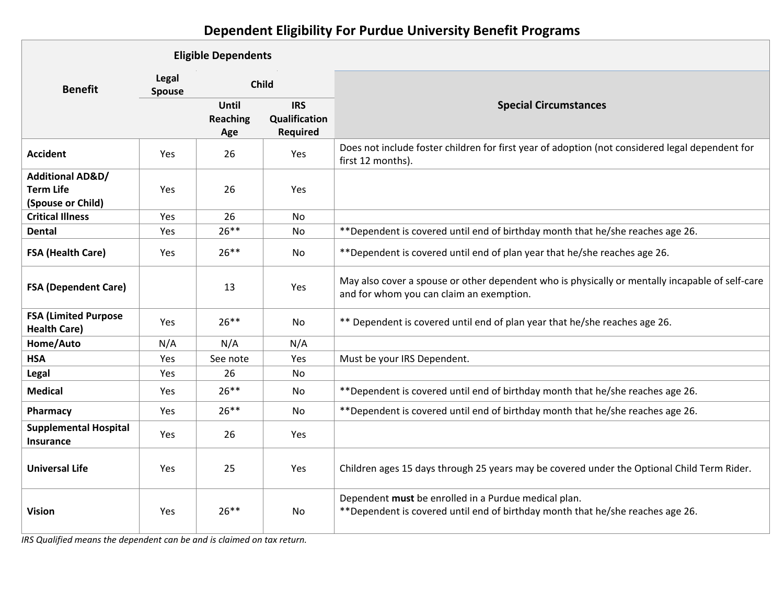## **Dependent Eligibility For Purdue University Benefit Programs**

|                                                                      | <b>Eligible Dependents</b> |                          |                                                |                                                                                                                                             |
|----------------------------------------------------------------------|----------------------------|--------------------------|------------------------------------------------|---------------------------------------------------------------------------------------------------------------------------------------------|
| <b>Benefit</b>                                                       | Legal<br><b>Spouse</b>     | <b>Child</b>             |                                                |                                                                                                                                             |
|                                                                      |                            | Until<br>Reaching<br>Age | <b>IRS</b><br>Qualification<br><b>Required</b> | <b>Special Circumstances</b>                                                                                                                |
| <b>Accident</b>                                                      | <b>Yes</b>                 | 26                       | Yes                                            | Does not include foster children for first year of adoption (not considered legal dependent for<br>first 12 months).                        |
| <b>Additional AD&amp;D/</b><br><b>Term Life</b><br>(Spouse or Child) | Yes                        | 26                       | Yes                                            |                                                                                                                                             |
| <b>Critical Illness</b>                                              | Yes                        | 26                       | No                                             |                                                                                                                                             |
| <b>Dental</b>                                                        | <b>Yes</b>                 | $26***$                  | N <sub>0</sub>                                 | **Dependent is covered until end of birthday month that he/she reaches age 26.                                                              |
| <b>FSA (Health Care)</b>                                             | <b>Yes</b>                 | $26***$                  | No                                             | **Dependent is covered until end of plan year that he/she reaches age 26.                                                                   |
| <b>FSA (Dependent Care)</b>                                          |                            | 13                       | Yes                                            | May also cover a spouse or other dependent who is physically or mentally incapable of self-care<br>and for whom you can claim an exemption. |
| <b>FSA (Limited Purpose</b><br><b>Health Care)</b>                   | Yes                        | $26***$                  | <b>No</b>                                      | ** Dependent is covered until end of plan year that he/she reaches age 26.                                                                  |
| Home/Auto                                                            | N/A                        | N/A                      | N/A                                            |                                                                                                                                             |
| <b>HSA</b>                                                           | Yes                        | See note                 | Yes                                            | Must be your IRS Dependent.                                                                                                                 |
| Legal                                                                | Yes                        | 26                       | No                                             |                                                                                                                                             |
| <b>Medical</b>                                                       | Yes                        | $26**$                   | No                                             | **Dependent is covered until end of birthday month that he/she reaches age 26.                                                              |
| Pharmacy                                                             | <b>Yes</b>                 | $26***$                  | No                                             | **Dependent is covered until end of birthday month that he/she reaches age 26.                                                              |
| <b>Supplemental Hospital</b><br><b>Insurance</b>                     | Yes                        | 26                       | Yes                                            |                                                                                                                                             |
| <b>Universal Life</b>                                                | Yes                        | 25                       | Yes                                            | Children ages 15 days through 25 years may be covered under the Optional Child Term Rider.                                                  |
| <b>Vision</b>                                                        | Yes                        | $26***$                  | <b>No</b>                                      | Dependent must be enrolled in a Purdue medical plan.<br>**Dependent is covered until end of birthday month that he/she reaches age 26.      |

*IRS Qualified means the dependent can be and is claimed on tax return.*